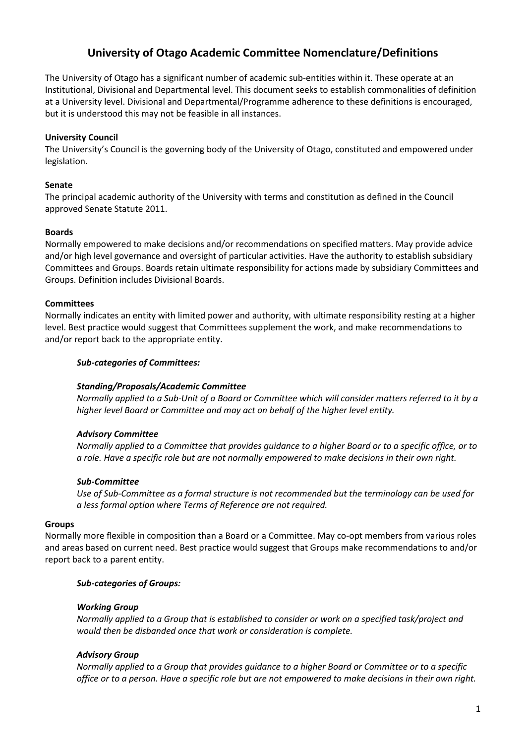# **University of Otago Academic Committee Nomenclature/Definitions**

The University of Otago has a significant number of academic sub-entities within it. These operate at an Institutional, Divisional and Departmental level. This document seeks to establish commonalities of definition at a University level. Divisional and Departmental/Programme adherence to these definitions is encouraged, but it is understood this may not be feasible in all instances.

## **University Council**

The University's Council is the governing body of the University of Otago, constituted and empowered under legislation.

## **Senate**

The principal academic authority of the University with terms and constitution as defined in the Council approved Senate Statute 2011.

## **Boards**

Normally empowered to make decisions and/or recommendations on specified matters. May provide advice and/or high level governance and oversight of particular activities. Have the authority to establish subsidiary Committees and Groups. Boards retain ultimate responsibility for actions made by subsidiary Committees and Groups. Definition includes Divisional Boards.

#### **Committees**

Normally indicates an entity with limited power and authority, with ultimate responsibility resting at a higher level. Best practice would suggest that Committees supplement the work, and make recommendations to and/or report back to the appropriate entity.

#### *Sub-categories of Committees:*

#### *Standing/Proposals/Academic Committee*

*Normally applied to a Sub-Unit of a Board or Committee which will consider matters referred to it by a higher level Board or Committee and may act on behalf of the higher level entity.*

#### *Advisory Committee*

*Normally applied to a Committee that provides guidance to a higher Board or to a specific office, or to a role. Have a specific role but are not normally empowered to make decisions in their own right.*

#### *Sub-Committee*

*Use of Sub-Committee as a formal structure is not recommended but the terminology can be used for a less formal option where Terms of Reference are not required.*

#### **Groups**

Normally more flexible in composition than a Board or a Committee. May co-opt members from various roles and areas based on current need. Best practice would suggest that Groups make recommendations to and/or report back to a parent entity.

#### *Sub-categories of Groups:*

#### *Working Group*

*Normally applied to a Group that is established to consider or work on a specified task/project and would then be disbanded once that work or consideration is complete.*

# *Advisory Group*

*Normally applied to a Group that provides guidance to a higher Board or Committee or to a specific office or to a person. Have a specific role but are not empowered to make decisions in their own right.*